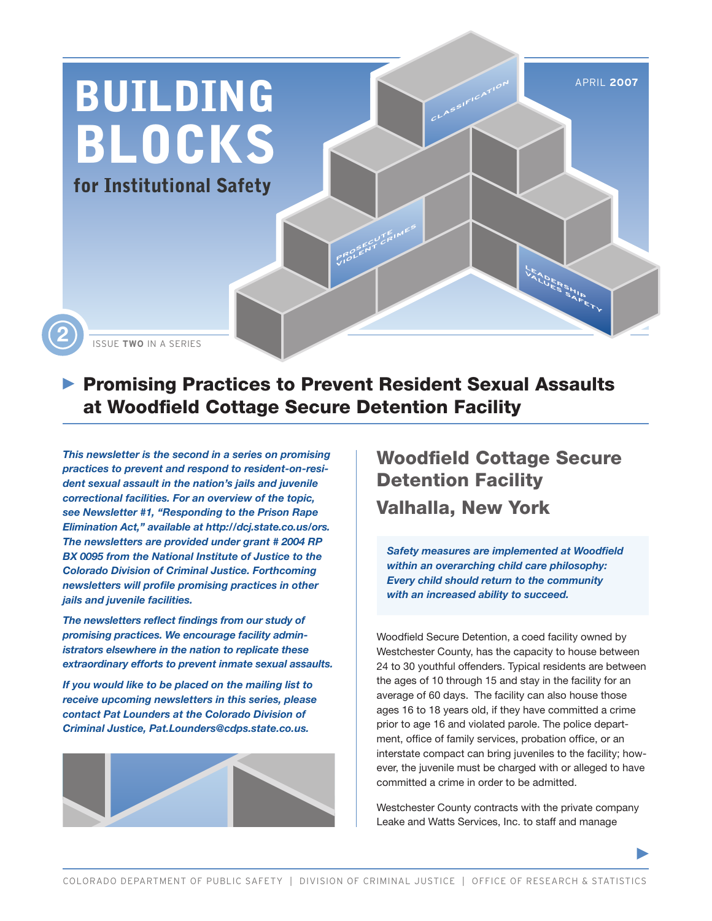

## **Promising Practices to Prevent Resident Sexual Assaults** at Woodfield Cottage Secure Detention Facility

*This newsletter is the second in a series on promising practices to prevent and respond to resident-on-resident sexual assault in the nation's jails and juvenile correctional facilities. For an overview of the topic, see Newsletter #1, "Responding to the Prison Rape Elimination Act," available at http://dcj.state.co.us/ors. The newsletters are provided under grant # 2004 RP BX 0095 from the National Institute of Justice to the Colorado Division of Criminal Justice. Forthcoming newsletters will profile promising practices in other jails and juvenile facilities.*

*The newsletters reflect findings from our study of promising practices. We encourage facility administrators elsewhere in the nation to replicate these extraordinary efforts to prevent inmate sexual assaults.*

*If you would like to be placed on the mailing list to receive upcoming newsletters in this series, please contact Pat Lounders at the Colorado Division of Criminal Justice, Pat.Lounders@cdps.state.co.us.*



## Woodfield Cottage Secure Detention Facility Valhalla, New York

*Safety measures are implemented at Woodfield within an overarching child care philosophy: Every child should return to the community with an increased ability to succeed.* 

Woodfield Secure Detention, a coed facility owned by Westchester County, has the capacity to house between 24 to 30 youthful offenders. Typical residents are between the ages of 10 through 15 and stay in the facility for an average of 60 days. The facility can also house those ages 16 to 18 years old, if they have committed a crime prior to age 16 and violated parole. The police department, office of family services, probation office, or an interstate compact can bring juveniles to the facility; however, the juvenile must be charged with or alleged to have committed a crime in order to be admitted.

Westchester County contracts with the private company Leake and Watts Services, Inc. to staff and manage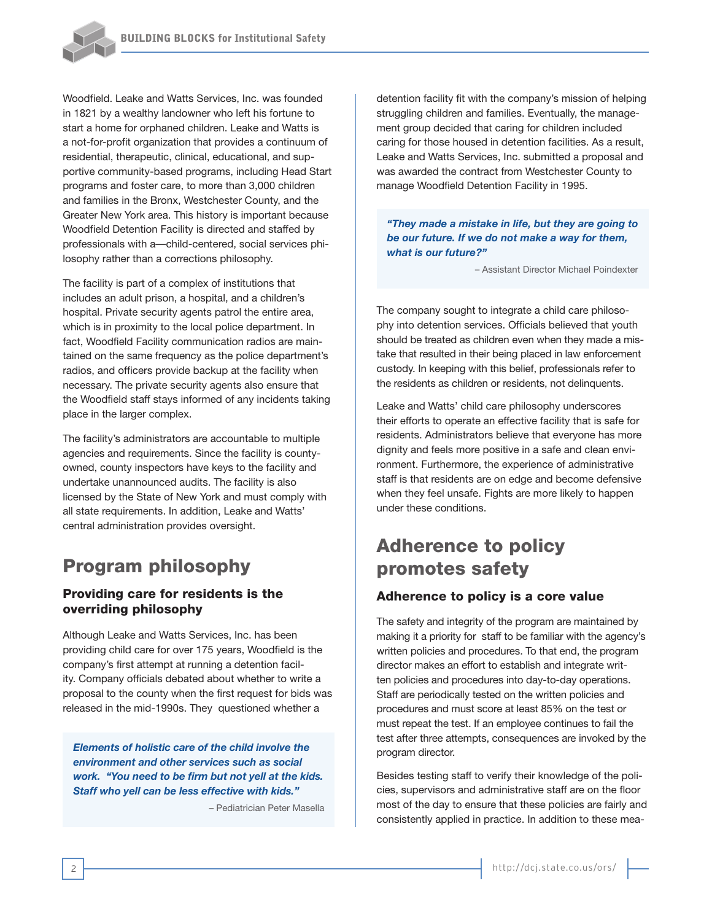Woodfield. Leake and Watts Services, Inc. was founded in 1821 by a wealthy landowner who left his fortune to start a home for orphaned children. Leake and Watts is a not-for-profit organization that provides a continuum of residential, therapeutic, clinical, educational, and supportive community-based programs, including Head Start programs and foster care, to more than 3,000 children and families in the Bronx, Westchester County, and the Greater New York area. This history is important because Woodfield Detention Facility is directed and staffed by professionals with a—child-centered, social services philosophy rather than a corrections philosophy.

The facility is part of a complex of institutions that includes an adult prison, a hospital, and a children's hospital. Private security agents patrol the entire area, which is in proximity to the local police department. In fact, Woodfield Facility communication radios are maintained on the same frequency as the police department's radios, and officers provide backup at the facility when necessary. The private security agents also ensure that the Woodfield staff stays informed of any incidents taking place in the larger complex.

The facility's administrators are accountable to multiple agencies and requirements. Since the facility is countyowned, county inspectors have keys to the facility and undertake unannounced audits. The facility is also licensed by the State of New York and must comply with all state requirements. In addition, Leake and Watts' central administration provides oversight.

## Program philosophy

## Providing care for residents is the overriding philosophy

Although Leake and Watts Services, Inc. has been providing child care for over 175 years, Woodfield is the company's first attempt at running a detention facility. Company officials debated about whether to write a proposal to the county when the first request for bids was released in the mid-1990s. They questioned whether a

*Elements of holistic care of the child involve the environment and other services such as social work. "You need to be firm but not yell at the kids. Staff who yell can be less effective with kids."* 

– Pediatrician Peter Masella

detention facility fit with the company's mission of helping struggling children and families. Eventually, the management group decided that caring for children included caring for those housed in detention facilities. As a result, Leake and Watts Services, Inc. submitted a proposal and was awarded the contract from Westchester County to manage Woodfield Detention Facility in 1995.

*"They made a mistake in life, but they are going to be our future. If we do not make a way for them, what is our future?"* 

– Assistant Director Michael Poindexter

The company sought to integrate a child care philosophy into detention services. Officials believed that youth should be treated as children even when they made a mistake that resulted in their being placed in law enforcement custody. In keeping with this belief, professionals refer to the residents as children or residents, not delinquents.

Leake and Watts' child care philosophy underscores their efforts to operate an effective facility that is safe for residents. Administrators believe that everyone has more dignity and feels more positive in a safe and clean environment. Furthermore, the experience of administrative staff is that residents are on edge and become defensive when they feel unsafe. Fights are more likely to happen under these conditions.

## Adherence to policy promotes safety

#### Adherence to policy is a core value

The safety and integrity of the program are maintained by making it a priority for staff to be familiar with the agency's written policies and procedures. To that end, the program director makes an effort to establish and integrate written policies and procedures into day-to-day operations. Staff are periodically tested on the written policies and procedures and must score at least 85% on the test or must repeat the test. If an employee continues to fail the test after three attempts, consequences are invoked by the program director.

Besides testing staff to verify their knowledge of the policies, supervisors and administrative staff are on the floor most of the day to ensure that these policies are fairly and consistently applied in practice. In addition to these mea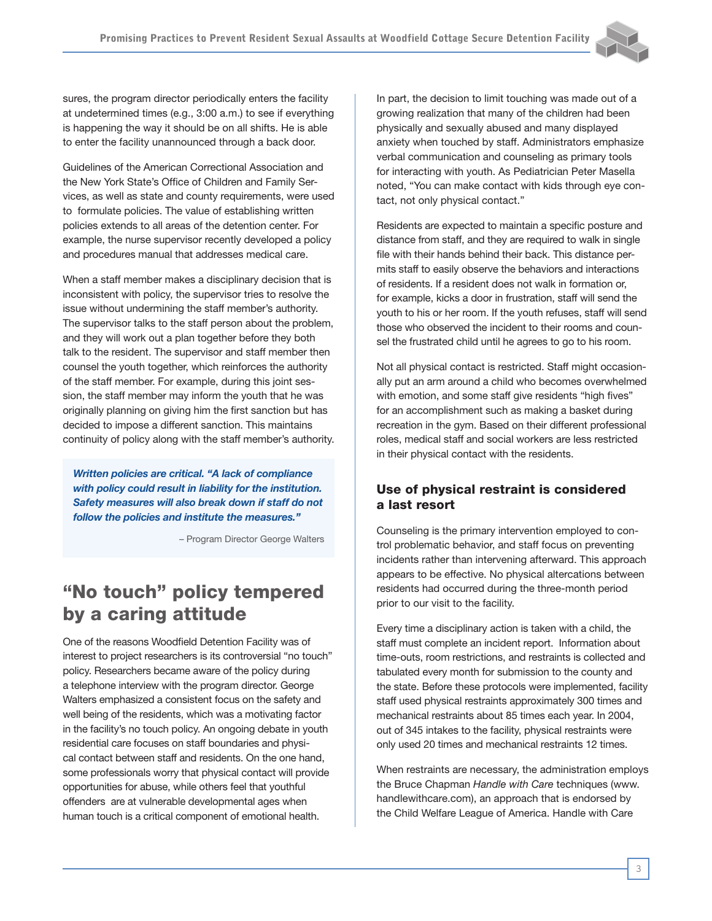sures, the program director periodically enters the facility at undetermined times (e.g., 3:00 a.m.) to see if everything is happening the way it should be on all shifts. He is able to enter the facility unannounced through a back door.

Guidelines of the American Correctional Association and the New York State's Office of Children and Family Services, as well as state and county requirements, were used to formulate policies. The value of establishing written policies extends to all areas of the detention center. For example, the nurse supervisor recently developed a policy and procedures manual that addresses medical care.

When a staff member makes a disciplinary decision that is inconsistent with policy, the supervisor tries to resolve the issue without undermining the staff member's authority. The supervisor talks to the staff person about the problem, and they will work out a plan together before they both talk to the resident. The supervisor and staff member then counsel the youth together, which reinforces the authority of the staff member. For example, during this joint session, the staff member may inform the youth that he was originally planning on giving him the first sanction but has decided to impose a different sanction. This maintains continuity of policy along with the staff member's authority.

*Written policies are critical. "A lack of compliance with policy could result in liability for the institution. Safety measures will also break down if staff do not follow the policies and institute the measures."* 

– Program Director George Walters

## "No touch" policy tempered by a caring attitude

One of the reasons Woodfield Detention Facility was of interest to project researchers is its controversial "no touch" policy. Researchers became aware of the policy during a telephone interview with the program director. George Walters emphasized a consistent focus on the safety and well being of the residents, which was a motivating factor in the facility's no touch policy. An ongoing debate in youth residential care focuses on staff boundaries and physical contact between staff and residents. On the one hand, some professionals worry that physical contact will provide opportunities for abuse, while others feel that youthful offenders are at vulnerable developmental ages when human touch is a critical component of emotional health.

In part, the decision to limit touching was made out of a growing realization that many of the children had been physically and sexually abused and many displayed anxiety when touched by staff. Administrators emphasize verbal communication and counseling as primary tools for interacting with youth. As Pediatrician Peter Masella noted, "You can make contact with kids through eye contact, not only physical contact."

Residents are expected to maintain a specific posture and distance from staff, and they are required to walk in single file with their hands behind their back. This distance permits staff to easily observe the behaviors and interactions of residents. If a resident does not walk in formation or, for example, kicks a door in frustration, staff will send the youth to his or her room. If the youth refuses, staff will send those who observed the incident to their rooms and counsel the frustrated child until he agrees to go to his room.

Not all physical contact is restricted. Staff might occasionally put an arm around a child who becomes overwhelmed with emotion, and some staff give residents "high fives" for an accomplishment such as making a basket during recreation in the gym. Based on their different professional roles, medical staff and social workers are less restricted in their physical contact with the residents.

## Use of physical restraint is considered a last resort

Counseling is the primary intervention employed to control problematic behavior, and staff focus on preventing incidents rather than intervening afterward. This approach appears to be effective. No physical altercations between residents had occurred during the three-month period prior to our visit to the facility.

Every time a disciplinary action is taken with a child, the staff must complete an incident report. Information about time-outs, room restrictions, and restraints is collected and tabulated every month for submission to the county and the state. Before these protocols were implemented, facility staff used physical restraints approximately 300 times and mechanical restraints about 85 times each year. In 2004, out of 345 intakes to the facility, physical restraints were only used 20 times and mechanical restraints 12 times.

When restraints are necessary, the administration employs the Bruce Chapman *Handle with Care* techniques (www. handlewithcare.com), an approach that is endorsed by the Child Welfare League of America. Handle with Care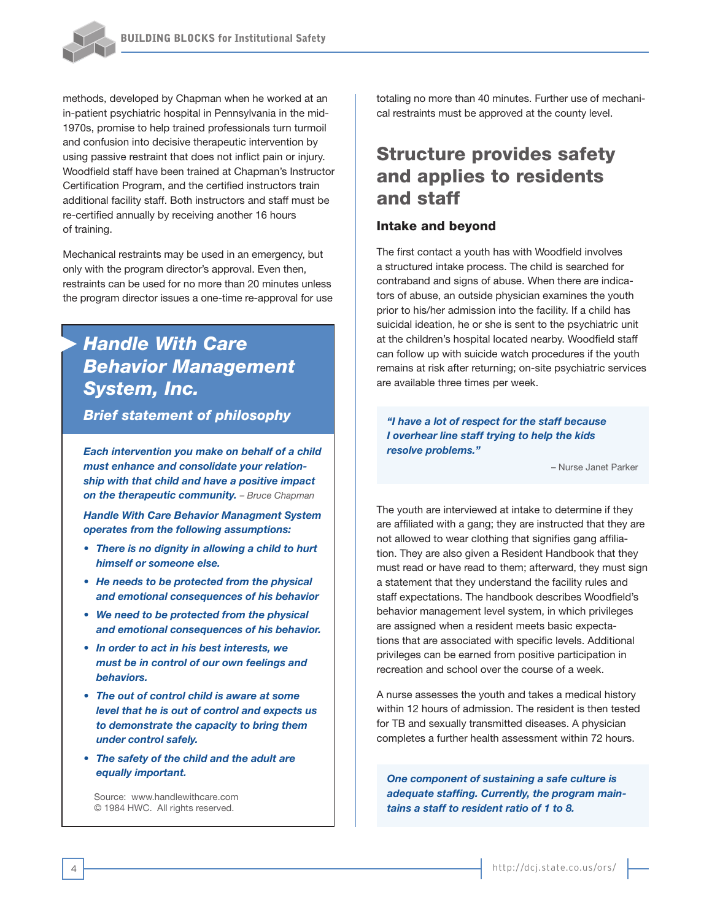

methods, developed by Chapman when he worked at an in-patient psychiatric hospital in Pennsylvania in the mid-1970s, promise to help trained professionals turn turmoil and confusion into decisive therapeutic intervention by using passive restraint that does not inflict pain or injury. Woodfield staff have been trained at Chapman's Instructor Certification Program, and the certified instructors train additional facility staff. Both instructors and staff must be re-certified annually by receiving another 16 hours of training.

Mechanical restraints may be used in an emergency, but only with the program director's approval. Even then, restraints can be used for no more than 20 minutes unless the program director issues a one-time re-approval for use

## *Handle With Care Behavior Management System, Inc.*

*Brief statement of philosophy*

*Each intervention you make on behalf of a child must enhance and consolidate your relationship with that child and have a positive impact on the therapeutic community. – Bruce Chapman*

*Handle With Care Behavior Managment System operates from the following assumptions:* 

- *• There is no dignity in allowing a child to hurt himself or someone else.*
- *• He needs to be protected from the physical and emotional consequences of his behavior*
- *• We need to be protected from the physical and emotional consequences of his behavior.*
- *• In order to act in his best interests, we must be in control of our own feelings and behaviors.*
- *• The out of control child is aware at some level that he is out of control and expects us to demonstrate the capacity to bring them under control safely.*
- *• The safety of the child and the adult are equally important.*

Source: www.handlewithcare.com © 1984 HWC. All rights reserved.

totaling no more than 40 minutes. Further use of mechanical restraints must be approved at the county level.

## Structure provides safety and applies to residents and staff

#### Intake and beyond

The first contact a youth has with Woodfield involves a structured intake process. The child is searched for contraband and signs of abuse. When there are indicators of abuse, an outside physician examines the youth prior to his/her admission into the facility. If a child has suicidal ideation, he or she is sent to the psychiatric unit at the children's hospital located nearby. Woodfield staff can follow up with suicide watch procedures if the youth remains at risk after returning; on-site psychiatric services are available three times per week.

*"I have a lot of respect for the staff because I overhear line staff trying to help the kids resolve problems."* 

– Nurse Janet Parker

The youth are interviewed at intake to determine if they are affiliated with a gang; they are instructed that they are not allowed to wear clothing that signifies gang affiliation. They are also given a Resident Handbook that they must read or have read to them; afterward, they must sign a statement that they understand the facility rules and staff expectations. The handbook describes Woodfield's behavior management level system, in which privileges are assigned when a resident meets basic expectations that are associated with specific levels. Additional privileges can be earned from positive participation in recreation and school over the course of a week.

A nurse assesses the youth and takes a medical history within 12 hours of admission. The resident is then tested for TB and sexually transmitted diseases. A physician completes a further health assessment within 72 hours.

*One component of sustaining a safe culture is adequate staffing. Currently, the program maintains a staff to resident ratio of 1 to 8.*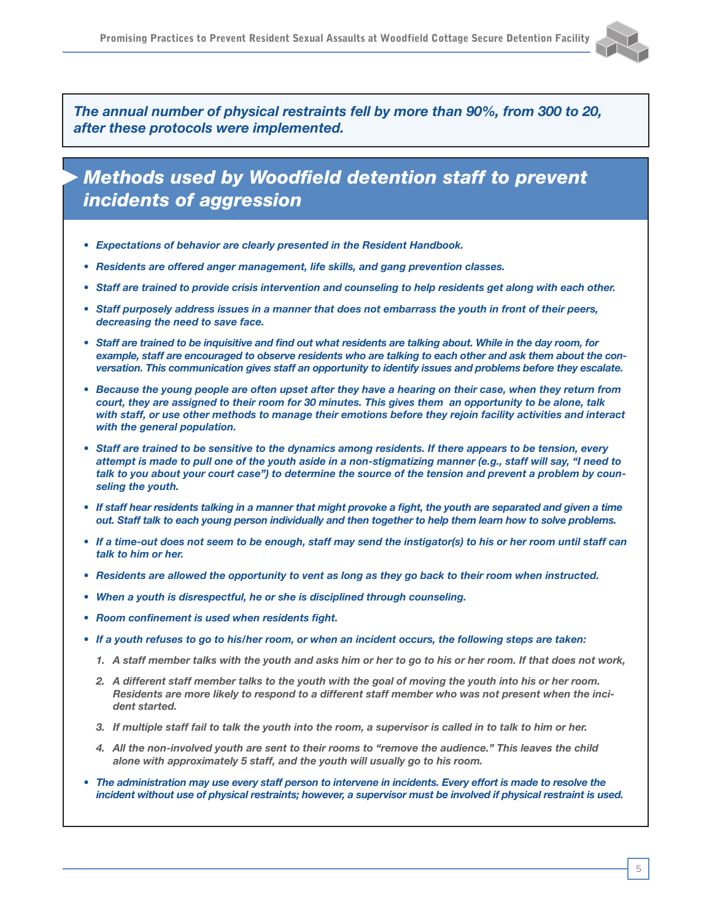

*The annual number of physical restraints fell by more than 90%, from 300 to 20, after these protocols were implemented.*

## *Methods used by Woodfield detention staff to prevent incidents of aggression*

- *• Expectations of behavior are clearly presented in the Resident Handbook.*
- *• Residents are offered anger management, life skills, and gang prevention classes.*
- *• Staff are trained to provide crisis intervention and counseling to help residents get along with each other.*
- *• Staff purposely address issues in a manner that does not embarrass the youth in front of their peers, decreasing the need to save face.*
- *• Staff are trained to be inquisitive and find out what residents are talking about. While in the day room, for example, staff are encouraged to observe residents who are talking to each other and ask them about the conversation. This communication gives staff an opportunity to identify issues and problems before they escalate.*
- *• Because the young people are often upset after they have a hearing on their case, when they return from court, they are assigned to their room for 30 minutes. This gives them an opportunity to be alone, talk with staff, or use other methods to manage their emotions before they rejoin facility activities and interact with the general population.*
- *• Staff are trained to be sensitive to the dynamics among residents. If there appears to be tension, every attempt is made to pull one of the youth aside in a non-stigmatizing manner (e.g., staff will say, "I need to talk to you about your court case") to determine the source of the tension and prevent a problem by counseling the youth.*
- If staff hear residents talking in a manner that might provoke a fight, the youth are separated and given a time *out. Staff talk to each young person individually and then together to help them learn how to solve problems.*
- *• If a time-out does not seem to be enough, staff may send the instigator(s) to his or her room until staff can talk to him or her.*
- *• Residents are allowed the opportunity to vent as long as they go back to their room when instructed.*
- *• When a youth is disrespectful, he or she is disciplined through counseling.*
- *• Room confinement is used when residents fight.*
- *• If a youth refuses to go to his/her room, or when an incident occurs, the following steps are taken:*
	- *1. A staff member talks with the youth and asks him or her to go to his or her room. If that does not work,*
	- *2. A different staff member talks to the youth with the goal of moving the youth into his or her room. Residents are more likely to respond to a different staff member who was not present when the incident started.*
	- *3. If multiple staff fail to talk the youth into the room, a supervisor is called in to talk to him or her.*
	- *4. All the non-involved youth are sent to their rooms to "remove the audience." This leaves the child alone with approximately 5 staff, and the youth will usually go to his room.*
- *• The administration may use every staff person to intervene in incidents. Every effort is made to resolve the incident without use of physical restraints; however, a supervisor must be involved if physical restraint is used.*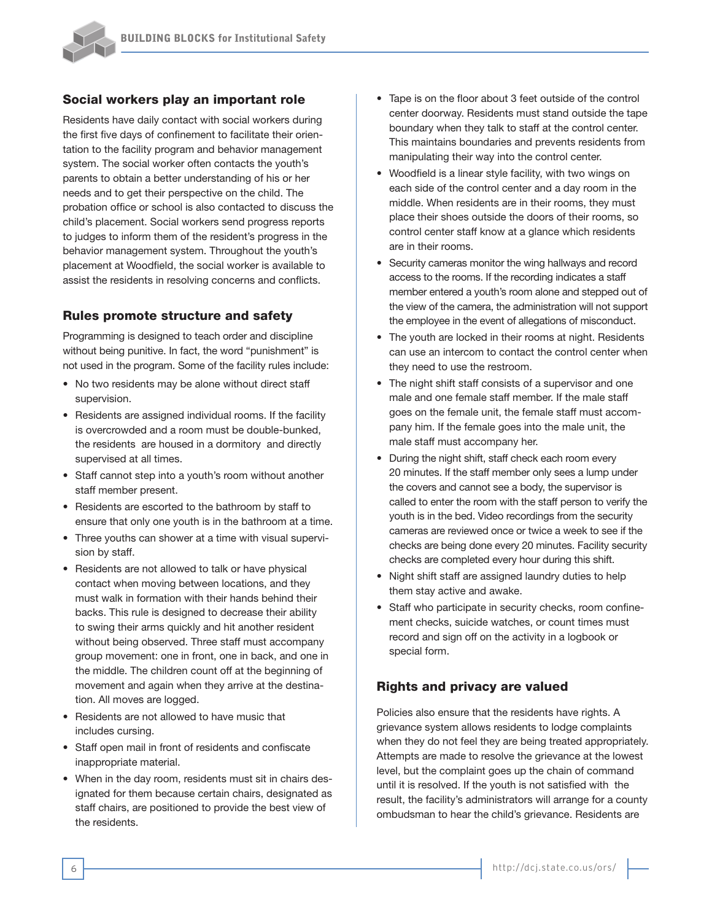#### Social workers play an important role

Residents have daily contact with social workers during the first five days of confinement to facilitate their orientation to the facility program and behavior management system. The social worker often contacts the youth's parents to obtain a better understanding of his or her needs and to get their perspective on the child. The probation office or school is also contacted to discuss the child's placement. Social workers send progress reports to judges to inform them of the resident's progress in the behavior management system. Throughout the youth's placement at Woodfield, the social worker is available to assist the residents in resolving concerns and conflicts.

#### Rules promote structure and safety

Programming is designed to teach order and discipline without being punitive. In fact, the word "punishment" is not used in the program. Some of the facility rules include:

- No two residents may be alone without direct staff supervision.
- Residents are assigned individual rooms. If the facility is overcrowded and a room must be double-bunked, the residents are housed in a dormitory and directly supervised at all times.
- Staff cannot step into a youth's room without another staff member present.
- Residents are escorted to the bathroom by staff to ensure that only one youth is in the bathroom at a time.
- Three youths can shower at a time with visual supervision by staff.
- Residents are not allowed to talk or have physical contact when moving between locations, and they must walk in formation with their hands behind their backs. This rule is designed to decrease their ability to swing their arms quickly and hit another resident without being observed. Three staff must accompany group movement: one in front, one in back, and one in the middle. The children count off at the beginning of movement and again when they arrive at the destination. All moves are logged.
- Residents are not allowed to have music that includes cursing.
- Staff open mail in front of residents and confiscate inappropriate material.
- When in the day room, residents must sit in chairs designated for them because certain chairs, designated as staff chairs, are positioned to provide the best view of the residents.
- Tape is on the floor about 3 feet outside of the control center doorway. Residents must stand outside the tape boundary when they talk to staff at the control center. This maintains boundaries and prevents residents from manipulating their way into the control center.
- Woodfield is a linear style facility, with two wings on each side of the control center and a day room in the middle. When residents are in their rooms, they must place their shoes outside the doors of their rooms, so control center staff know at a glance which residents are in their rooms.
- Security cameras monitor the wing hallways and record access to the rooms. If the recording indicates a staff member entered a youth's room alone and stepped out of the view of the camera, the administration will not support the employee in the event of allegations of misconduct.
- The youth are locked in their rooms at night. Residents can use an intercom to contact the control center when they need to use the restroom.
- The night shift staff consists of a supervisor and one male and one female staff member. If the male staff goes on the female unit, the female staff must accompany him. If the female goes into the male unit, the male staff must accompany her.
- During the night shift, staff check each room every 20 minutes. If the staff member only sees a lump under the covers and cannot see a body, the supervisor is called to enter the room with the staff person to verify the youth is in the bed. Video recordings from the security cameras are reviewed once or twice a week to see if the checks are being done every 20 minutes. Facility security checks are completed every hour during this shift.
- Night shift staff are assigned laundry duties to help them stay active and awake.
- Staff who participate in security checks, room confinement checks, suicide watches, or count times must record and sign off on the activity in a logbook or special form.

#### Rights and privacy are valued

Policies also ensure that the residents have rights. A grievance system allows residents to lodge complaints when they do not feel they are being treated appropriately. Attempts are made to resolve the grievance at the lowest level, but the complaint goes up the chain of command until it is resolved. If the youth is not satisfied with the result, the facility's administrators will arrange for a county ombudsman to hear the child's grievance. Residents are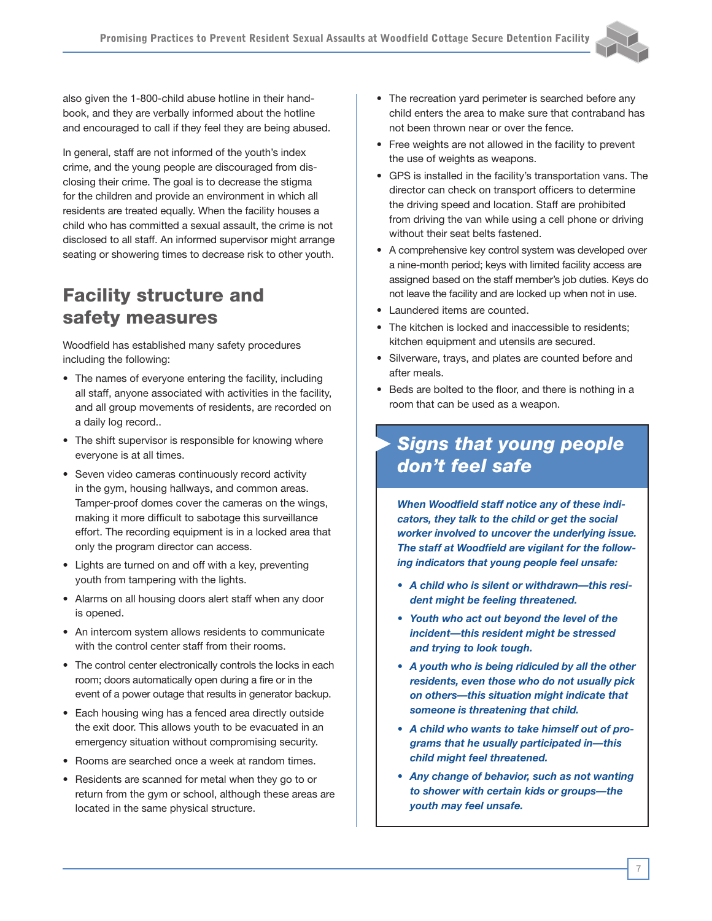also given the 1-800-child abuse hotline in their handbook, and they are verbally informed about the hotline and encouraged to call if they feel they are being abused.

In general, staff are not informed of the youth's index crime, and the young people are discouraged from disclosing their crime. The goal is to decrease the stigma for the children and provide an environment in which all residents are treated equally. When the facility houses a child who has committed a sexual assault, the crime is not disclosed to all staff. An informed supervisor might arrange seating or showering times to decrease risk to other youth.

## Facility structure and safety measures

Woodfield has established many safety procedures including the following:

- The names of everyone entering the facility, including all staff, anyone associated with activities in the facility, and all group movements of residents, are recorded on a daily log record..
- The shift supervisor is responsible for knowing where everyone is at all times.
- Seven video cameras continuously record activity in the gym, housing hallways, and common areas. Tamper-proof domes cover the cameras on the wings, making it more difficult to sabotage this surveillance effort. The recording equipment is in a locked area that only the program director can access.
- Lights are turned on and off with a key, preventing youth from tampering with the lights.
- Alarms on all housing doors alert staff when any door is opened.
- An intercom system allows residents to communicate with the control center staff from their rooms.
- The control center electronically controls the locks in each room; doors automatically open during a fire or in the event of a power outage that results in generator backup.
- Each housing wing has a fenced area directly outside the exit door. This allows youth to be evacuated in an emergency situation without compromising security.
- Rooms are searched once a week at random times.
- Residents are scanned for metal when they go to or return from the gym or school, although these areas are located in the same physical structure.
- The recreation yard perimeter is searched before any child enters the area to make sure that contraband has not been thrown near or over the fence.
- Free weights are not allowed in the facility to prevent the use of weights as weapons.
- GPS is installed in the facility's transportation vans. The director can check on transport officers to determine the driving speed and location. Staff are prohibited from driving the van while using a cell phone or driving without their seat belts fastened.
- A comprehensive key control system was developed over a nine-month period; keys with limited facility access are assigned based on the staff member's job duties. Keys do not leave the facility and are locked up when not in use.
- Laundered items are counted.
- The kitchen is locked and inaccessible to residents; kitchen equipment and utensils are secured.
- Silverware, trays, and plates are counted before and after meals.
- Beds are bolted to the floor, and there is nothing in a room that can be used as a weapon.

## *Signs that young people don't feel safe*

*When Woodfield staff notice any of these indicators, they talk to the child or get the social worker involved to uncover the underlying issue. The staff at Woodfield are vigilant for the following indicators that young people feel unsafe:* 

- *• A child who is silent or withdrawn—this resident might be feeling threatened.*
- *• Youth who act out beyond the level of the incident—this resident might be stressed and trying to look tough.*
- *• A youth who is being ridiculed by all the other residents, even those who do not usually pick on others—this situation might indicate that someone is threatening that child.*
- *• A child who wants to take himself out of programs that he usually participated in—this child might feel threatened.*
- *• Any change of behavior, such as not wanting to shower with certain kids or groups—the youth may feel unsafe.*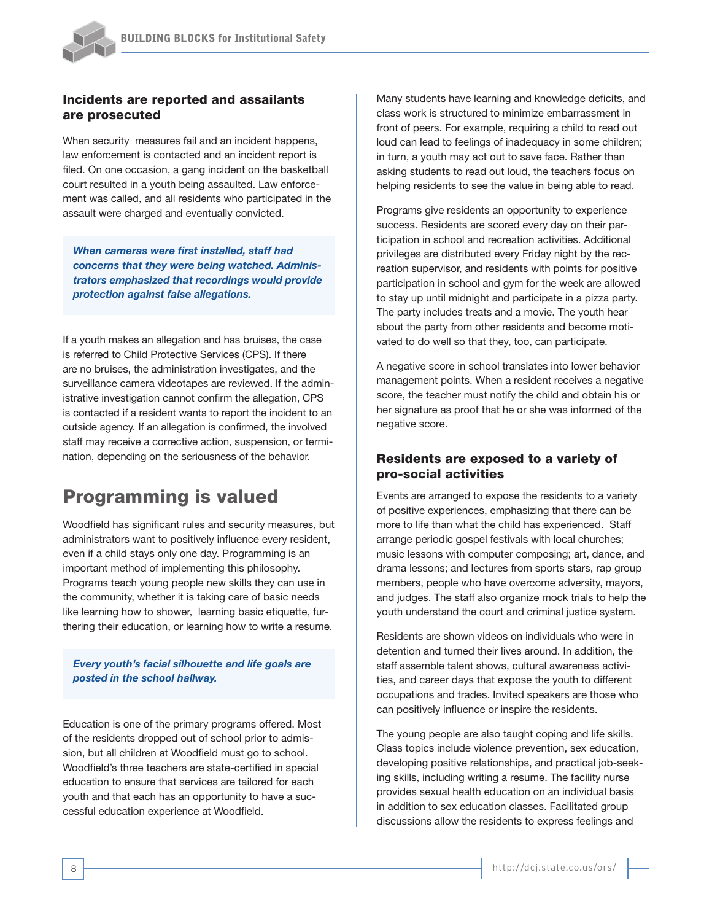#### Incidents are reported and assailants are prosecuted

When security measures fail and an incident happens, law enforcement is contacted and an incident report is filed. On one occasion, a gang incident on the basketball court resulted in a youth being assaulted. Law enforcement was called, and all residents who participated in the assault were charged and eventually convicted.

*When cameras were first installed, staff had concerns that they were being watched. Administrators emphasized that recordings would provide protection against false allegations.* 

If a youth makes an allegation and has bruises, the case is referred to Child Protective Services (CPS). If there are no bruises, the administration investigates, and the surveillance camera videotapes are reviewed. If the administrative investigation cannot confirm the allegation, CPS is contacted if a resident wants to report the incident to an outside agency. If an allegation is confirmed, the involved staff may receive a corrective action, suspension, or termination, depending on the seriousness of the behavior.

## Programming is valued

Woodfield has significant rules and security measures, but administrators want to positively influence every resident, even if a child stays only one day. Programming is an important method of implementing this philosophy. Programs teach young people new skills they can use in the community, whether it is taking care of basic needs like learning how to shower, learning basic etiquette, furthering their education, or learning how to write a resume.

*Every youth's facial silhouette and life goals are posted in the school hallway.*

Education is one of the primary programs offered. Most of the residents dropped out of school prior to admission, but all children at Woodfield must go to school. Woodfield's three teachers are state-certified in special education to ensure that services are tailored for each youth and that each has an opportunity to have a successful education experience at Woodfield.

Many students have learning and knowledge deficits, and class work is structured to minimize embarrassment in front of peers. For example, requiring a child to read out loud can lead to feelings of inadequacy in some children; in turn, a youth may act out to save face. Rather than asking students to read out loud, the teachers focus on helping residents to see the value in being able to read.

Programs give residents an opportunity to experience success. Residents are scored every day on their participation in school and recreation activities. Additional privileges are distributed every Friday night by the recreation supervisor, and residents with points for positive participation in school and gym for the week are allowed to stay up until midnight and participate in a pizza party. The party includes treats and a movie. The youth hear about the party from other residents and become motivated to do well so that they, too, can participate.

A negative score in school translates into lower behavior management points. When a resident receives a negative score, the teacher must notify the child and obtain his or her signature as proof that he or she was informed of the negative score.

#### Residents are exposed to a variety of pro-social activities

Events are arranged to expose the residents to a variety of positive experiences, emphasizing that there can be more to life than what the child has experienced. Staff arrange periodic gospel festivals with local churches; music lessons with computer composing; art, dance, and drama lessons; and lectures from sports stars, rap group members, people who have overcome adversity, mayors, and judges. The staff also organize mock trials to help the youth understand the court and criminal justice system.

Residents are shown videos on individuals who were in detention and turned their lives around. In addition, the staff assemble talent shows, cultural awareness activities, and career days that expose the youth to different occupations and trades. Invited speakers are those who can positively influence or inspire the residents.

The young people are also taught coping and life skills. Class topics include violence prevention, sex education, developing positive relationships, and practical job-seeking skills, including writing a resume. The facility nurse provides sexual health education on an individual basis in addition to sex education classes. Facilitated group discussions allow the residents to express feelings and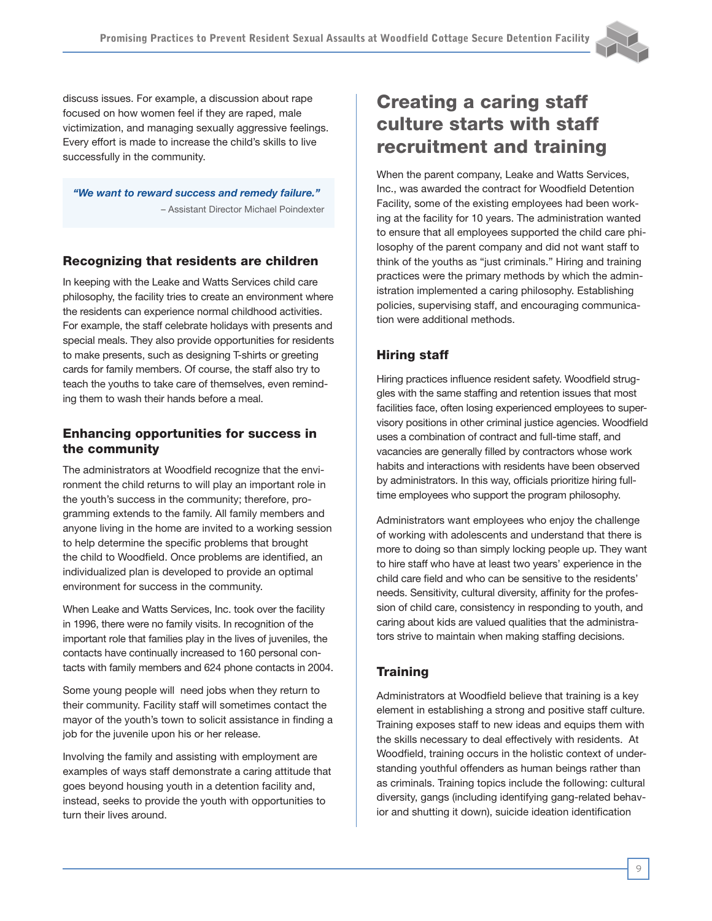discuss issues. For example, a discussion about rape focused on how women feel if they are raped, male victimization, and managing sexually aggressive feelings. Every effort is made to increase the child's skills to live successfully in the community.

*"We want to reward success and remedy failure."* – Assistant Director Michael Poindexter

#### Recognizing that residents are children

In keeping with the Leake and Watts Services child care philosophy, the facility tries to create an environment where the residents can experience normal childhood activities. For example, the staff celebrate holidays with presents and special meals. They also provide opportunities for residents to make presents, such as designing T-shirts or greeting cards for family members. Of course, the staff also try to teach the youths to take care of themselves, even reminding them to wash their hands before a meal.

## Enhancing opportunities for success in the community

The administrators at Woodfield recognize that the environment the child returns to will play an important role in the youth's success in the community; therefore, programming extends to the family. All family members and anyone living in the home are invited to a working session to help determine the specific problems that brought the child to Woodfield. Once problems are identified, an individualized plan is developed to provide an optimal environment for success in the community.

When Leake and Watts Services, Inc. took over the facility in 1996, there were no family visits. In recognition of the important role that families play in the lives of juveniles, the contacts have continually increased to 160 personal contacts with family members and 624 phone contacts in 2004.

Some young people will need jobs when they return to their community. Facility staff will sometimes contact the mayor of the youth's town to solicit assistance in finding a job for the juvenile upon his or her release.

Involving the family and assisting with employment are examples of ways staff demonstrate a caring attitude that goes beyond housing youth in a detention facility and, instead, seeks to provide the youth with opportunities to turn their lives around.

## Creating a caring staff culture starts with staff recruitment and training

When the parent company, Leake and Watts Services, Inc., was awarded the contract for Woodfield Detention Facility, some of the existing employees had been working at the facility for 10 years. The administration wanted to ensure that all employees supported the child care philosophy of the parent company and did not want staff to think of the youths as "just criminals." Hiring and training practices were the primary methods by which the administration implemented a caring philosophy. Establishing policies, supervising staff, and encouraging communication were additional methods.

## Hiring staff

Hiring practices influence resident safety. Woodfield struggles with the same staffing and retention issues that most facilities face, often losing experienced employees to supervisory positions in other criminal justice agencies. Woodfield uses a combination of contract and full-time staff, and vacancies are generally filled by contractors whose work habits and interactions with residents have been observed by administrators. In this way, officials prioritize hiring fulltime employees who support the program philosophy.

Administrators want employees who enjoy the challenge of working with adolescents and understand that there is more to doing so than simply locking people up. They want to hire staff who have at least two years' experience in the child care field and who can be sensitive to the residents' needs. Sensitivity, cultural diversity, affinity for the profession of child care, consistency in responding to youth, and caring about kids are valued qualities that the administrators strive to maintain when making staffing decisions.

## **Training**

Administrators at Woodfield believe that training is a key element in establishing a strong and positive staff culture. Training exposes staff to new ideas and equips them with the skills necessary to deal effectively with residents. At Woodfield, training occurs in the holistic context of understanding youthful offenders as human beings rather than as criminals. Training topics include the following: cultural diversity, gangs (including identifying gang-related behavior and shutting it down), suicide ideation identification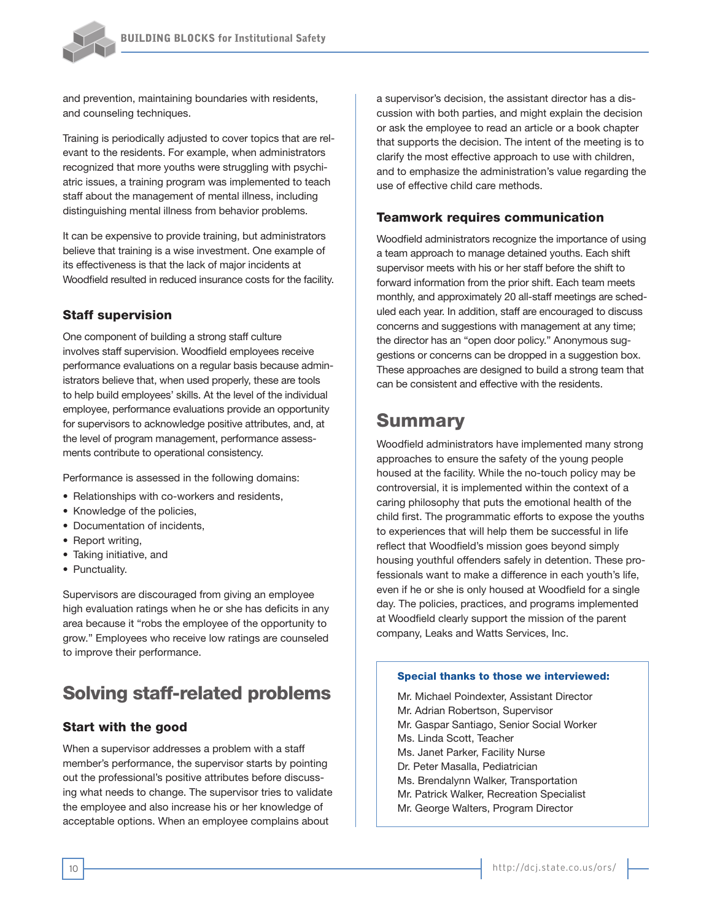

and prevention, maintaining boundaries with residents, and counseling techniques.

Training is periodically adjusted to cover topics that are relevant to the residents. For example, when administrators recognized that more youths were struggling with psychiatric issues, a training program was implemented to teach staff about the management of mental illness, including distinguishing mental illness from behavior problems.

It can be expensive to provide training, but administrators believe that training is a wise investment. One example of its effectiveness is that the lack of major incidents at Woodfield resulted in reduced insurance costs for the facility.

#### Staff supervision

One component of building a strong staff culture involves staff supervision. Woodfield employees receive performance evaluations on a regular basis because administrators believe that, when used properly, these are tools to help build employees' skills. At the level of the individual employee, performance evaluations provide an opportunity for supervisors to acknowledge positive attributes, and, at the level of program management, performance assessments contribute to operational consistency.

Performance is assessed in the following domains:

- Relationships with co-workers and residents,
- Knowledge of the policies,
- Documentation of incidents,
- Report writing,
- Taking initiative, and
- Punctuality.

Supervisors are discouraged from giving an employee high evaluation ratings when he or she has deficits in any area because it "robs the employee of the opportunity to grow." Employees who receive low ratings are counseled to improve their performance.

## Solving staff-related problems

#### Start with the good

When a supervisor addresses a problem with a staff member's performance, the supervisor starts by pointing out the professional's positive attributes before discussing what needs to change. The supervisor tries to validate the employee and also increase his or her knowledge of acceptable options. When an employee complains about

a supervisor's decision, the assistant director has a discussion with both parties, and might explain the decision or ask the employee to read an article or a book chapter that supports the decision. The intent of the meeting is to clarify the most effective approach to use with children, and to emphasize the administration's value regarding the use of effective child care methods.

#### Teamwork requires communication

Woodfield administrators recognize the importance of using a team approach to manage detained youths. Each shift supervisor meets with his or her staff before the shift to forward information from the prior shift. Each team meets monthly, and approximately 20 all-staff meetings are scheduled each year. In addition, staff are encouraged to discuss concerns and suggestions with management at any time; the director has an "open door policy." Anonymous suggestions or concerns can be dropped in a suggestion box. These approaches are designed to build a strong team that can be consistent and effective with the residents.

## Summary

Woodfield administrators have implemented many strong approaches to ensure the safety of the young people housed at the facility. While the no-touch policy may be controversial, it is implemented within the context of a caring philosophy that puts the emotional health of the child first. The programmatic efforts to expose the youths to experiences that will help them be successful in life reflect that Woodfield's mission goes beyond simply housing youthful offenders safely in detention. These professionals want to make a difference in each youth's life, even if he or she is only housed at Woodfield for a single day. The policies, practices, and programs implemented at Woodfield clearly support the mission of the parent company, Leaks and Watts Services, Inc.

#### Special thanks to those we interviewed:

Mr. Michael Poindexter, Assistant Director Mr. Adrian Robertson, Supervisor Mr. Gaspar Santiago, Senior Social Worker Ms. Linda Scott, Teacher Ms. Janet Parker, Facility Nurse Dr. Peter Masalla, Pediatrician Ms. Brendalynn Walker, Transportation Mr. Patrick Walker, Recreation Specialist Mr. George Walters, Program Director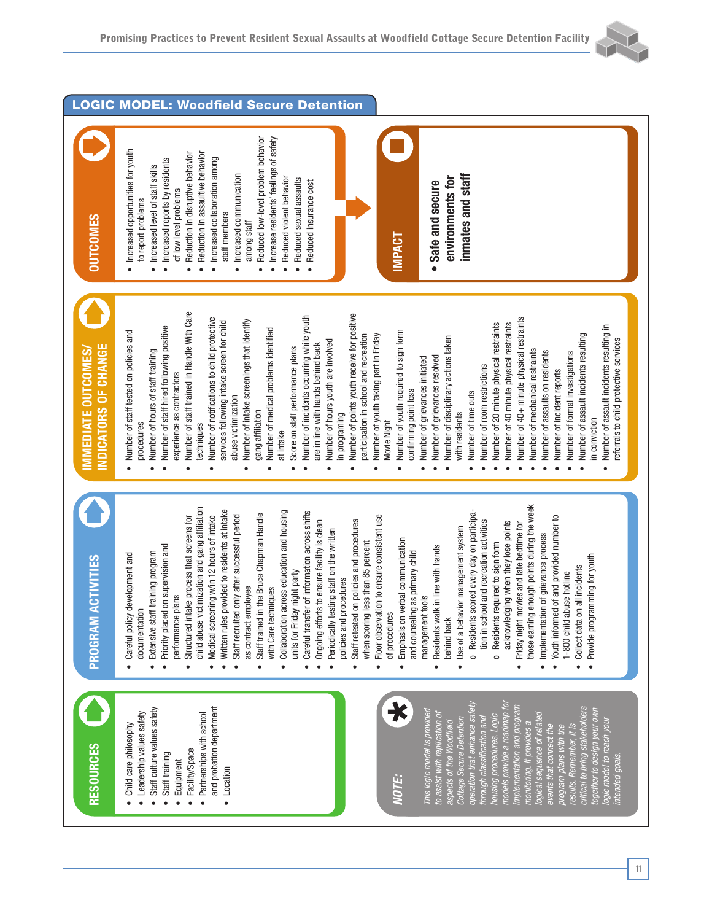